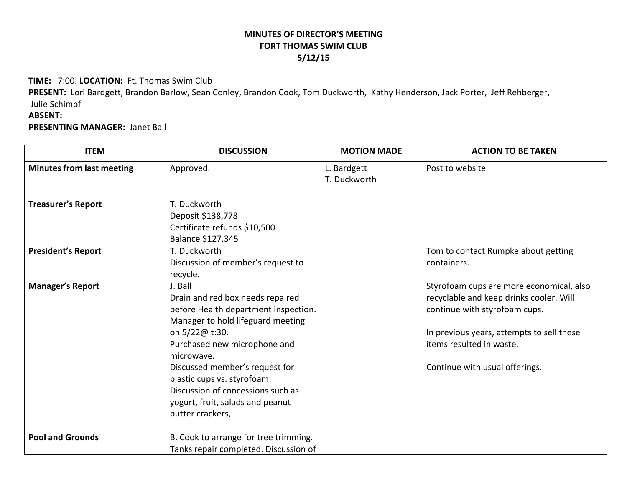## **MINUTES OF DIRECTOR'S MEETINGFORT THOMAS SWIM CLUB 5/12/15**

**TIME:** 7:00. **LOCATION:** Ft. Thomas Swim Club

**PRESENT:** Lori Bardgett, Brandon Barlow, Sean Conley, Brandon Cook, Tom Duckworth, Kathy Henderson, Jack Porter, Jeff Rehberger, Julie Schimpf

## **ABSENT:**

**PRESENTING MANAGER:** Janet Ball

| <b>ITEM</b>                      | <b>DISCUSSION</b>                                                                                                                                                                                                                                                                                                                                      | <b>MOTION MADE</b>          | <b>ACTION TO BE TAKEN</b>                                                                                                                                                                                                       |
|----------------------------------|--------------------------------------------------------------------------------------------------------------------------------------------------------------------------------------------------------------------------------------------------------------------------------------------------------------------------------------------------------|-----------------------------|---------------------------------------------------------------------------------------------------------------------------------------------------------------------------------------------------------------------------------|
| <b>Minutes from last meeting</b> | Approved.                                                                                                                                                                                                                                                                                                                                              | L. Bardgett<br>T. Duckworth | Post to website                                                                                                                                                                                                                 |
| <b>Treasurer's Report</b>        | T. Duckworth<br>Deposit \$138,778<br>Certificate refunds \$10,500<br>Balance \$127,345                                                                                                                                                                                                                                                                 |                             |                                                                                                                                                                                                                                 |
| <b>President's Report</b>        | T. Duckworth<br>Discussion of member's request to<br>recycle.                                                                                                                                                                                                                                                                                          |                             | Tom to contact Rumpke about getting<br>containers.                                                                                                                                                                              |
| <b>Manager's Report</b>          | J. Ball<br>Drain and red box needs repaired<br>before Health department inspection.<br>Manager to hold lifeguard meeting<br>on 5/22@ t:30.<br>Purchased new microphone and<br>microwave.<br>Discussed member's request for<br>plastic cups vs. styrofoam.<br>Discussion of concessions such as<br>yogurt, fruit, salads and peanut<br>butter crackers, |                             | Styrofoam cups are more economical, also<br>recyclable and keep drinks cooler. Will<br>continue with styrofoam cups.<br>In previous years, attempts to sell these<br>items resulted in waste.<br>Continue with usual offerings. |
| <b>Pool and Grounds</b>          | B. Cook to arrange for tree trimming.<br>Tanks repair completed. Discussion of                                                                                                                                                                                                                                                                         |                             |                                                                                                                                                                                                                                 |